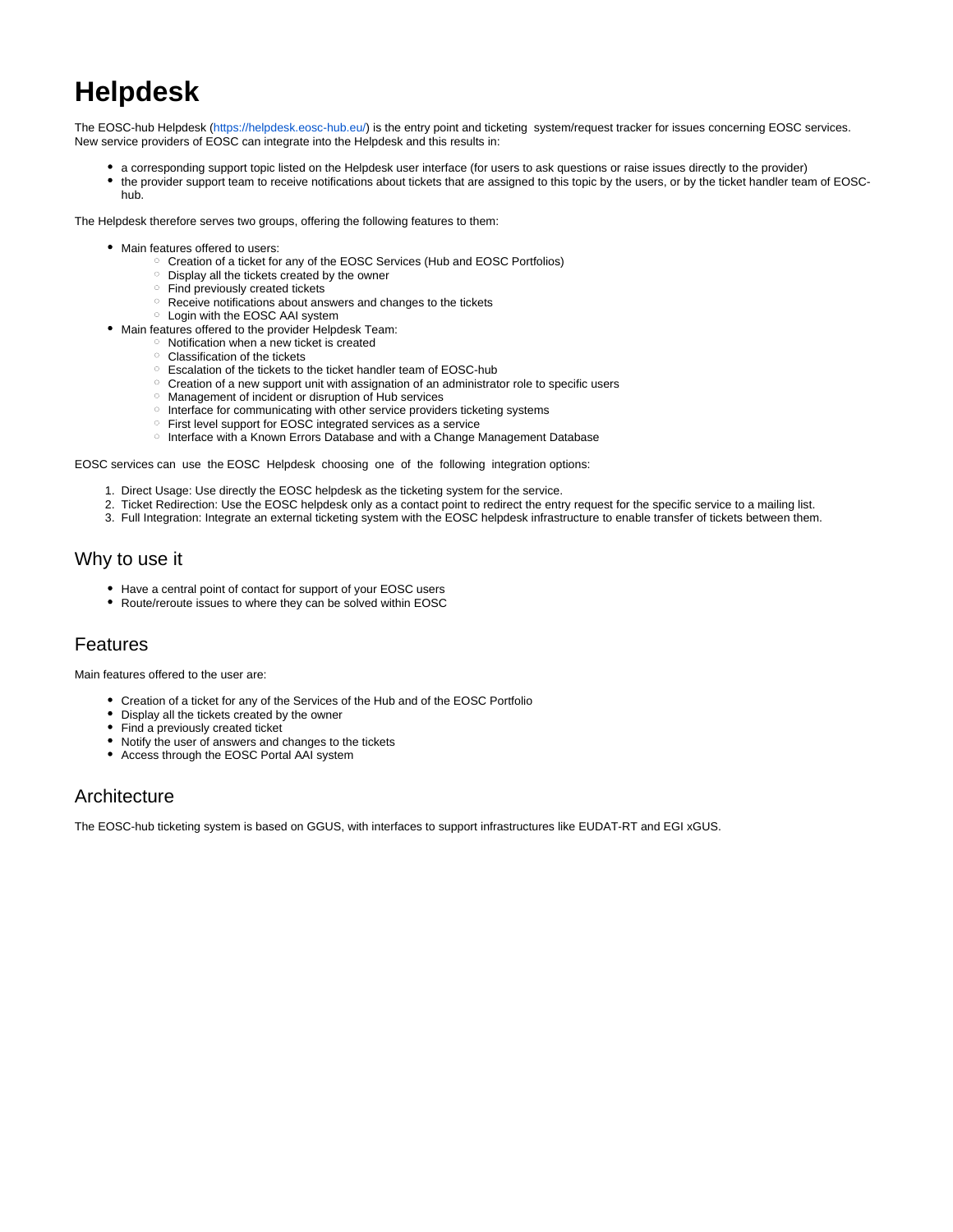# **Helpdesk**

The EOSC-hub Helpdesk [\(https://helpdesk.eosc-hub.eu/](https://helpdesk.eosc-hub.eu/)) is the entry point and ticketing system/request tracker for issues concerning EOSC services. New service providers of EOSC can integrate into the Helpdesk and this results in:

- a corresponding support topic listed on the Helpdesk user interface (for users to ask questions or raise issues directly to the provider)
- $\bullet$ the provider support team to receive notifications about tickets that are assigned to this topic by the users, or by the ticket handler team of EOSChub.

The Helpdesk therefore serves two groups, offering the following features to them:

- Main features offered to users:
	- o Creation of a ticket for any of the EOSC Services (Hub and EOSC Portfolios)
	- Display all the tickets created by the owner
	- <sup>o</sup> Find previously created tickets
	- Receive notifications about answers and changes to the tickets
	- Login with the EOSC AAI system
- Main features offered to the provider Helpdesk Team:
	- $\circ$  Notification when a new ticket is created
	- Classification of the tickets
	- Escalation of the tickets to the ticket handler team of EOSC-hub
	- o Creation of a new support unit with assignation of an administrator role to specific users
	- Management of incident or disruption of Hub services
	- <sup>o</sup> Interface for communicating with other service providers ticketing systems
	- First level support for EOSC integrated services as a service
	- o Interface with a Known Errors Database and with a Change Management Database

EOSC services can use the EOSC Helpdesk choosing one of the following integration options:

- 1. Direct Usage: Use directly the EOSC helpdesk as the ticketing system for the service.
- 2. Ticket Redirection: Use the EOSC helpdesk only as a contact point to redirect the entry request for the specific service to a mailing list.
- 3. Full Integration: Integrate an external ticketing system with the EOSC helpdesk infrastructure to enable transfer of tickets between them.

## Why to use it

- Have a central point of contact for support of your EOSC users
- Route/reroute issues to where they can be solved within EOSC

## Features

Main features offered to the user are:

- Creation of a ticket for any of the Services of the Hub and of the EOSC Portfolio
- Display all the tickets created by the owner
- Find a previously created ticket
- Notify the user of answers and changes to the tickets
- Access through the EOSC Portal AAI system

#### **Architecture**

The EOSC-hub ticketing system is based on GGUS, with interfaces to support infrastructures like EUDAT-RT and EGI xGUS.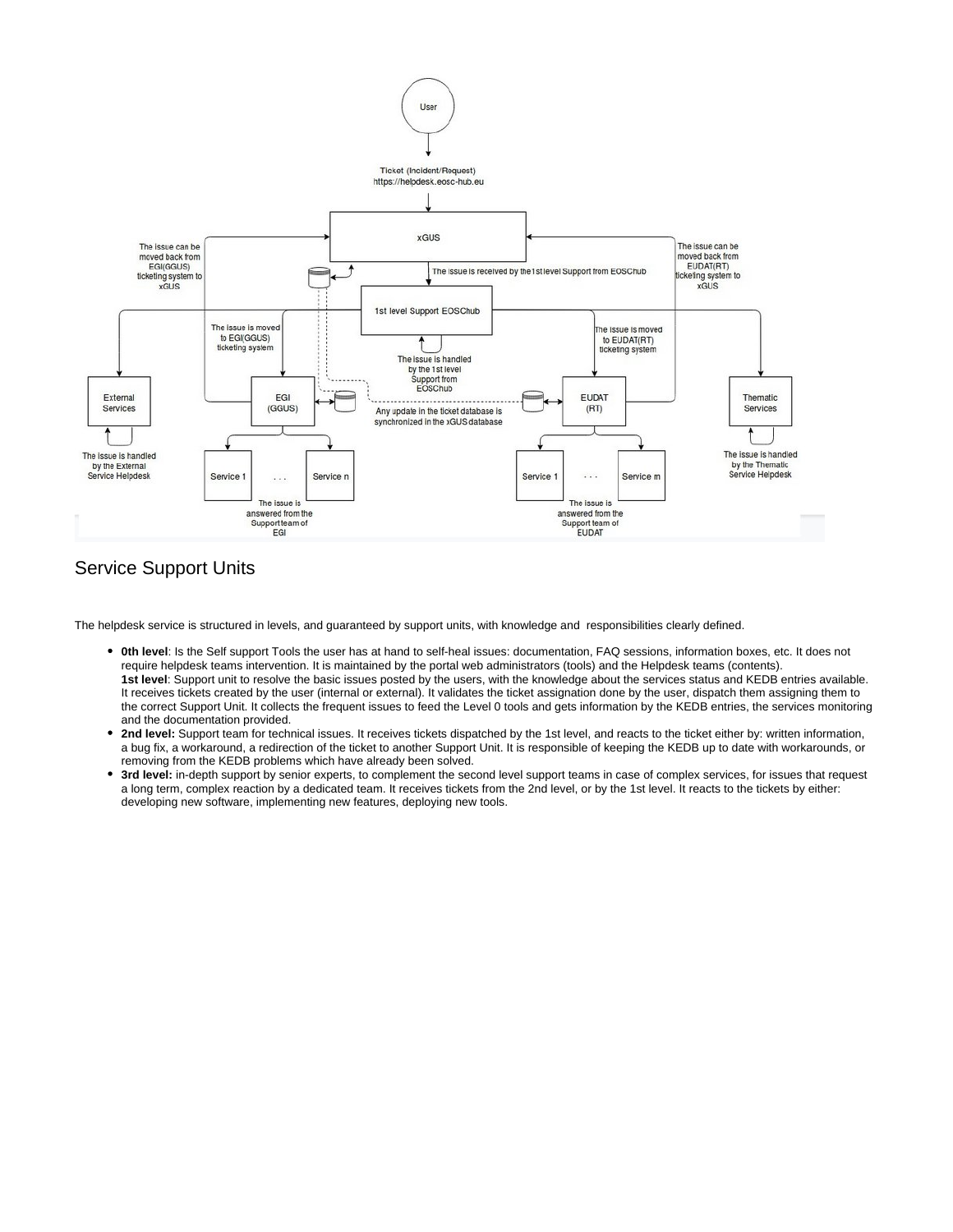

# Service Support Units

The helpdesk service is structured in levels, and guaranteed by support units, with knowledge and responsibilities clearly defined.

- **0th level**: Is the Self support Tools the user has at hand to self-heal issues: documentation, FAQ sessions, information boxes, etc. It does not require helpdesk teams intervention. It is maintained by the portal web administrators (tools) and the Helpdesk teams (contents). **1st level**: Support unit to resolve the basic issues posted by the users, with the knowledge about the services status and KEDB entries available. It receives tickets created by the user (internal or external). It validates the ticket assignation done by the user, dispatch them assigning them to the correct Support Unit. It collects the frequent issues to feed the Level 0 tools and gets information by the KEDB entries, the services monitoring and the documentation provided.
- $\bullet$ **2nd level:** Support team for technical issues. It receives tickets dispatched by the 1st level, and reacts to the ticket either by: written information, a bug fix, a workaround, a redirection of the ticket to another Support Unit. It is responsible of keeping the KEDB up to date with workarounds, or removing from the KEDB problems which have already been solved.
- **3rd level:** in-depth support by senior experts, to complement the second level support teams in case of complex services, for issues that request a long term, complex reaction by a dedicated team. It receives tickets from the 2nd level, or by the 1st level. It reacts to the tickets by either: developing new software, implementing new features, deploying new tools.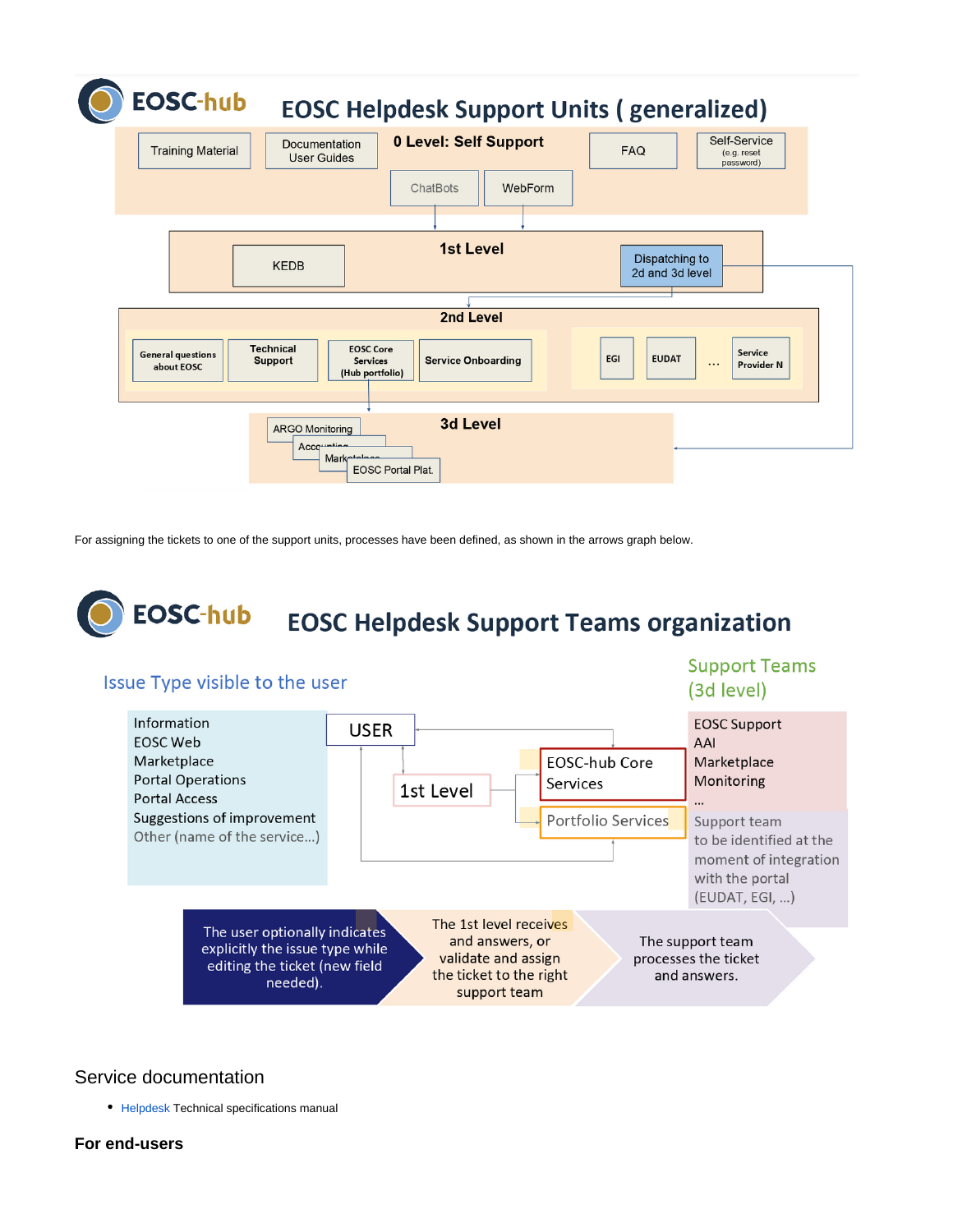| <b>EOSC-hub</b>                        |                                                                                              |                                                     | <b>EOSC Helpdesk Support Units (generalized)</b><br>Self-Service       |
|----------------------------------------|----------------------------------------------------------------------------------------------|-----------------------------------------------------|------------------------------------------------------------------------|
| <b>Training Material</b>               | Documentation<br><b>User Guides</b>                                                          | <b>0 Level: Self Support</b><br>ChatBots<br>WebForm | <b>FAQ</b><br>(e.g. reset<br>password)                                 |
|                                        |                                                                                              |                                                     |                                                                        |
| 1st Level<br><b>KEDB</b>               |                                                                                              | Dispatching to<br>2d and 3d level                   |                                                                        |
| 2nd Level                              |                                                                                              |                                                     |                                                                        |
| <b>General questions</b><br>about EOSC | <b>Technical</b><br><b>EOSC Core</b><br><b>Support</b><br><b>Services</b><br>(Hub portfolio) | <b>Service Onboarding</b>                           | Service<br><b>EGI</b><br><b>EUDAT</b><br><b>Provider N</b><br>$\cdots$ |
|                                        | <b>ARGO Monitoring</b><br>Accounting<br><b>Marketplane</b><br><b>EOSC Portal Plat.</b>       | <b>3d Level</b>                                     |                                                                        |

For assigning the tickets to one of the support units, processes have been defined, as shown in the arrows graph below.



# Issue Type visible to the user

# **Support Teams** (3d level)



## Service documentation

• [Helpdesk](https://confluence.egi.eu/display/EOSCDOC/Helpdesk) Technical specifications manual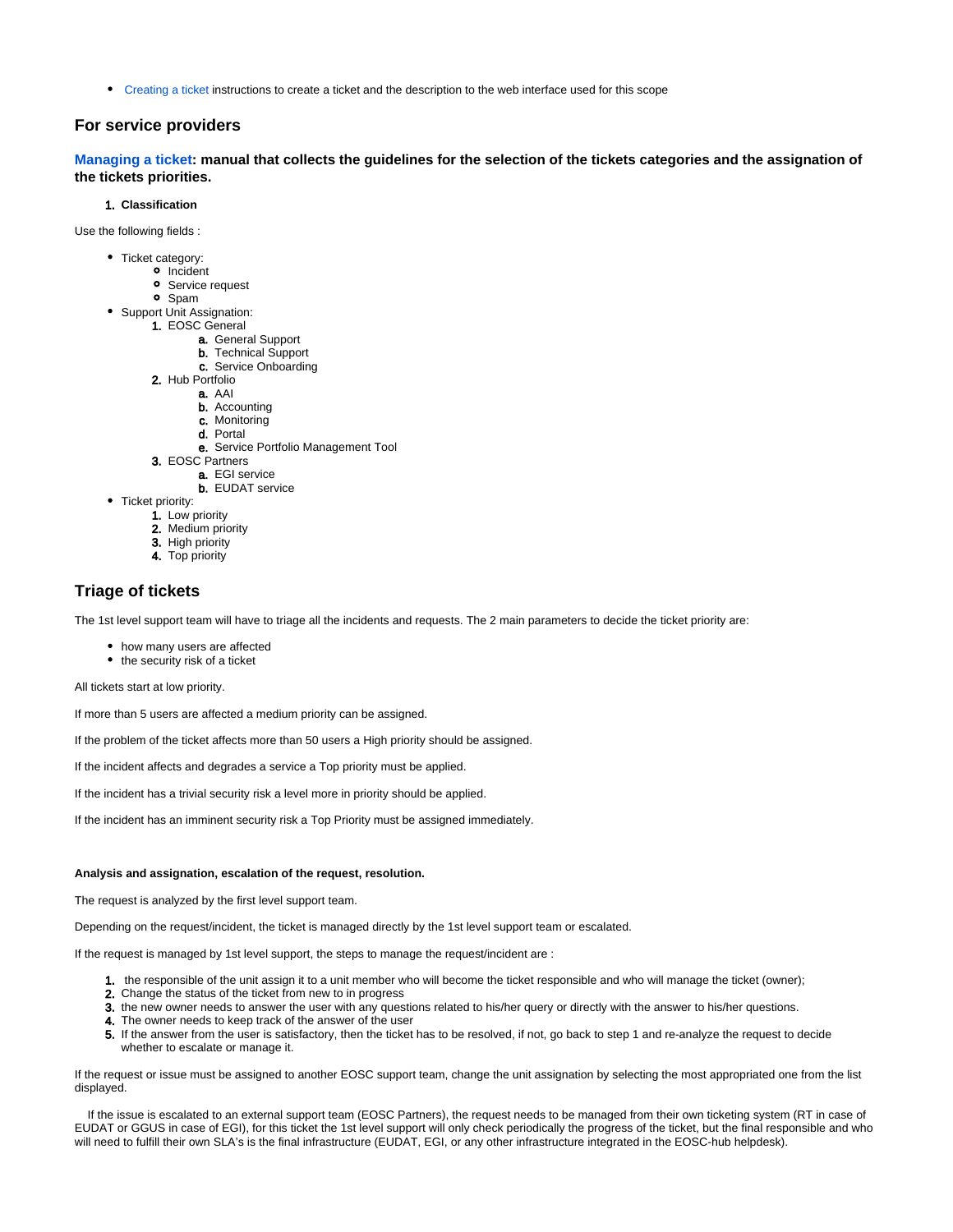[Creating a ticket](https://confluence.egi.eu/display/EOSC/2.+Creating+a+ticket) instructions to create a ticket and the description to the web interface used for this scope

#### **For service providers**

**[Managing a ticket:](https://confluence.egi.eu/display/EOSC/4.+Managing+a+ticket) manual that collects the guidelines for the selection of the tickets categories and the assignation of the tickets priorities.**

#### 1. **Classification**

Use the following fields :

- Ticket category:
	- <sup>o</sup> Incident
	- **o** Service request
	- Spam
- 1. EOSC General • Support Unit Assignation:
	- a. General Support
		- **b.** Technical Support
		- c. Service Onboarding
	- 2. Hub Portfolio
		- **a.** AAI
			- **b.** Accounting
			- c. Monitoring
			- d. Portal
			- e. Service Portfolio Management Tool
	- 3. EOSC Partners
		- a. EGI service
		- b. EUDAT service
- Ticket priority:
	- 1. Low priority
	- 2. Medium priority
	- 3. High priority
	- 4. Top priority

#### **Triage of tickets**

The 1st level support team will have to triage all the incidents and requests. The 2 main parameters to decide the ticket priority are:

- how many users are affected
- the security risk of a ticket

All tickets start at low priority.

If more than 5 users are affected a medium priority can be assigned.

If the problem of the ticket affects more than 50 users a High priority should be assigned.

If the incident affects and degrades a service a Top priority must be applied.

If the incident has a trivial security risk a level more in priority should be applied.

If the incident has an imminent security risk a Top Priority must be assigned immediately.

#### **Analysis and assignation, escalation of the request, resolution.**

The request is analyzed by the first level support team.

Depending on the request/incident, the ticket is managed directly by the 1st level support team or escalated.

If the request is managed by 1st level support, the steps to manage the request/incident are :

- 1. the responsible of the unit assign it to a unit member who will become the ticket responsible and who will manage the ticket (owner);
- 2. Change the status of the ticket from new to in progress
- 3. the new owner needs to answer the user with any questions related to his/her query or directly with the answer to his/her questions.
- 4. The owner needs to keep track of the answer of the user
- 5. If the answer from the user is satisfactory, then the ticket has to be resolved, if not, go back to step 1 and re-analyze the request to decide whether to escalate or manage it.

If the request or issue must be assigned to another EOSC support team, change the unit assignation by selecting the most appropriated one from the list displayed.

 If the issue is escalated to an external support team (EOSC Partners), the request needs to be managed from their own ticketing system (RT in case of EUDAT or GGUS in case of EGI), for this ticket the 1st level support will only check periodically the progress of the ticket, but the final responsible and who will need to fulfill their own SLA's is the final infrastructure (EUDAT, EGI, or any other infrastructure integrated in the EOSC-hub helpdesk).